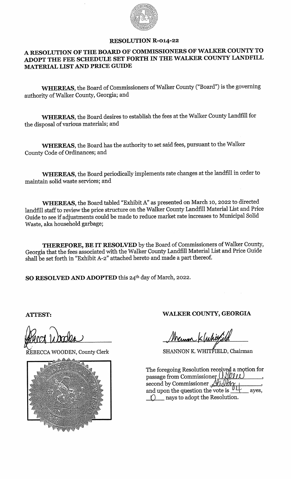

## RESOLUTION R-o14-22

## A RESOLUTION OF THE BOARD OF COMMISSIONERS OF WALKER COUNTY TO ADOPT THE FEE SCHEDULE SET FORTH IN THE WALKER COUNTY LANDFILL MATERIAL LIST AND PRICE GUIDE

WHEREAS, the Board of Commissioners of Walker County ("Board") is the governing authority of Walker County, Georgia; and

WHEREAS, the Board desires to establish the fees at the Walker County Landfill for the disposal of various materials; and

WHEREAS, the Board has the authority to set said fees, pursuant to the Walker County Code of Ordinances; and

WHEREAS, the Board periodically implements rate changes at the landfill in order to maintain solid waste services; and

WHEREAS, the Board tabled "Exhibit A" as presented on March 10, 2022 to directed landfill staff to review the price structure on the Walker County Landfill Material List and Price Guide to see if adjustments could be made to reduce market rate increases to Municipal Solid Waste, aka household garbage;

THEREFORE, BE IT RESOLVED by the Board of Commissioners of Walker County, Georgia that the fees associated with the Walker County Landfill Material List and Price Guide shall be set forth in "Exhibit A-2" attached hereto and made a part thereof.

SO RESOLVED AND ADOPTED this 24<sup>th</sup> day of March, 2022.



ATTEST: WALKER COUNTY, GEORGIA

Mermon Kluhitfield

NEBECCA WOODEN, County Clerk SHANNON K. WHITFIELD, Chairman

| The foregoing Resolution received a motion for                      |
|---------------------------------------------------------------------|
| passage from Commissioner (ISVIII)<br>second by Commissioner Aulthy |
|                                                                     |
| and upon the question the vote is $04$<br>aves.                     |
| nays to adopt the Resolution.                                       |